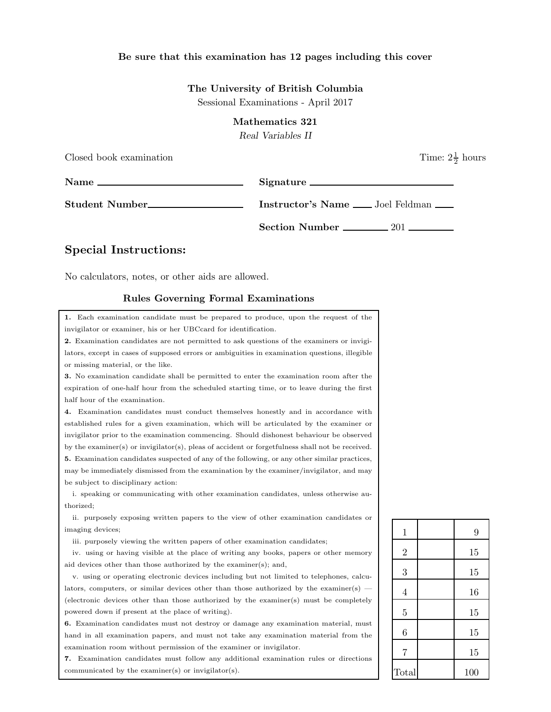## Be sure that this examination has 12 pages including this cover

### The University of British Columbia

Sessional Examinations - April 2017

#### Mathematics 321

Real Variables II

| Time: $2\frac{1}{2}$ hours<br>Closed book examination |                                                 |
|-------------------------------------------------------|-------------------------------------------------|
| Name                                                  | Signature                                       |
|                                                       | <b>Instructor's Name</b> ____ Joel Feldman ____ |
|                                                       | $Section Number \_ 201 \_$                      |

# Special Instructions:

No calculators, notes, or other aids are allowed.

#### Rules Governing Formal Examinations

1. Each examination candidate must be prepared to produce, upon the request of the invigilator or examiner, his or her UBCcard for identification.

2. Examination candidates are not permitted to ask questions of the examiners or invigilators, except in cases of supposed errors or ambiguities in examination questions, illegible or missing material, or the like.

3. No examination candidate shall be permitted to enter the examination room after the expiration of one-half hour from the scheduled starting time, or to leave during the first half hour of the examination.

4. Examination candidates must conduct themselves honestly and in accordance with established rules for a given examination, which will be articulated by the examiner or invigilator prior to the examination commencing. Should dishonest behaviour be observed by the examiner(s) or invigilator(s), pleas of accident or forgetfulness shall not be received. 5. Examination candidates suspected of any of the following, or any other similar practices, may be immediately dismissed from the examination by the examiner/invigilator, and may be subject to disciplinary action:

i. speaking or communicating with other examination candidates, unless otherwise authorized;

ii. purposely exposing written papers to the view of other examination candidates or imaging devices;

iii. purposely viewing the written papers of other examination candidates;

iv. using or having visible at the place of writing any books, papers or other memory aid devices other than those authorized by the examiner(s); and,

v. using or operating electronic devices including but not limited to telephones, calculators, computers, or similar devices other than those authorized by the examiner(s) — (electronic devices other than those authorized by the examiner(s) must be completely powered down if present at the place of writing).

6. Examination candidates must not destroy or damage any examination material, must hand in all examination papers, and must not take any examination material from the examination room without permission of the examiner or invigilator.

7. Examination candidates must follow any additional examination rules or directions communicated by the examiner(s) or invigilator(s).

| $\mathbf 1$    | 9   |
|----------------|-----|
| $\overline{2}$ | 15  |
| 3              | 15  |
| $\overline{4}$ | 16  |
| $\overline{5}$ | 15  |
| 6              | 15  |
| $\overline{7}$ | 15  |
| Total          | 100 |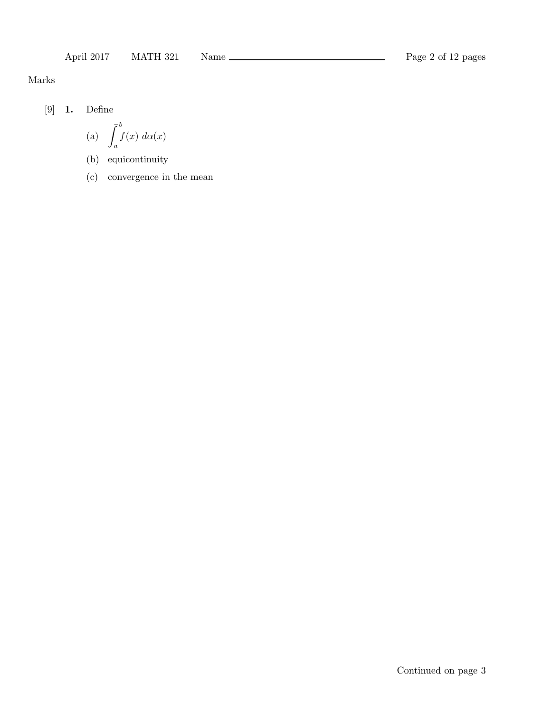Marks

[9] 1. Define

(a) 
$$
\int_{a}^{b} f(x) d\alpha(x)
$$

- (b) equicontinuity
- (c) convergence in the mean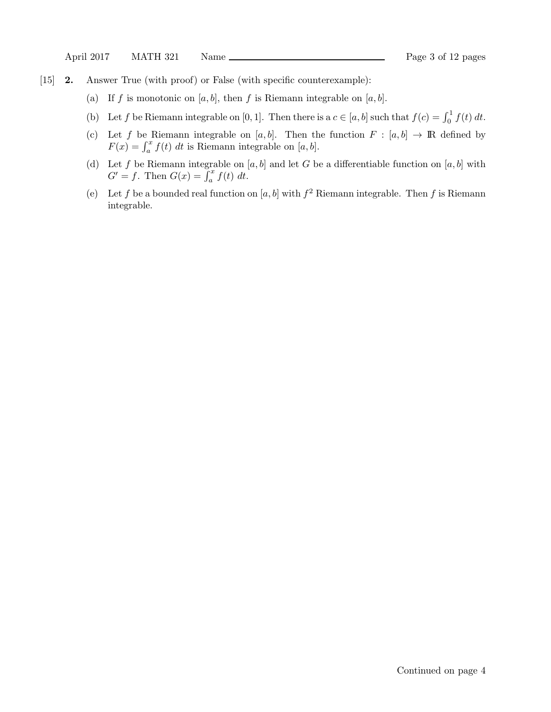- [15] 2. Answer True (with proof) or False (with specific counterexample):
	- (a) If f is monotonic on  $[a, b]$ , then f is Riemann integrable on  $[a, b]$ .
	- (b) Let f be Riemann integrable on [0, 1]. Then there is a  $c \in [a, b]$  such that  $f(c) = \int_0^1 f(t) dt$ .
	- (c) Let f be Riemann integrable on [a, b]. Then the function  $F : [a, b] \rightarrow \mathbb{R}$  defined by  $F(x) = \int_a^x f(t) dt$  is Riemann integrable on [a, b].
	- (d) Let f be Riemann integrable on  $[a, b]$  and let G be a differentiable function on  $[a, b]$  with  $G' = f$ . Then  $G(x) = \int_a^x f(t) dt$ .
	- (e) Let f be a bounded real function on [a, b] with  $f^2$  Riemann integrable. Then f is Riemann integrable.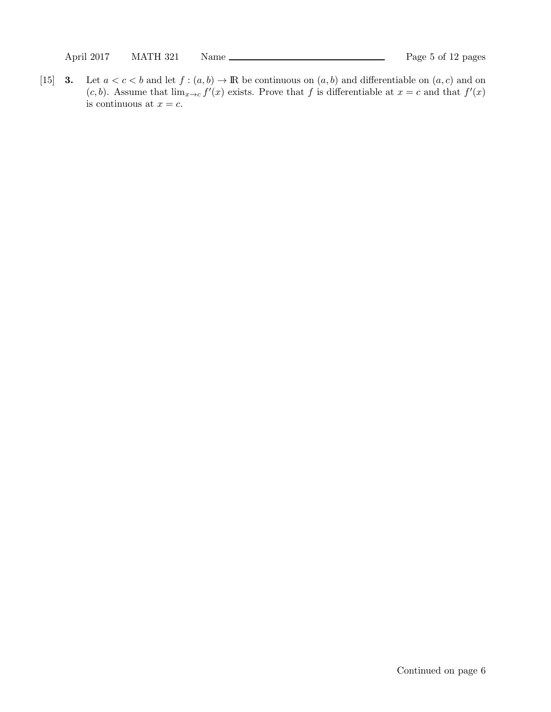[15] 3. Let  $a < c < b$  and let  $f : (a, b) \to \mathbb{R}$  be continuous on  $(a, b)$  and differentiable on  $(a, c)$  and on  $(c, b)$ . Assume that  $\lim_{x\to c} f'(x)$  exists. Prove that f is differentiable at  $x = c$  and that  $f'(x)$ is continuous at  $x = c$ .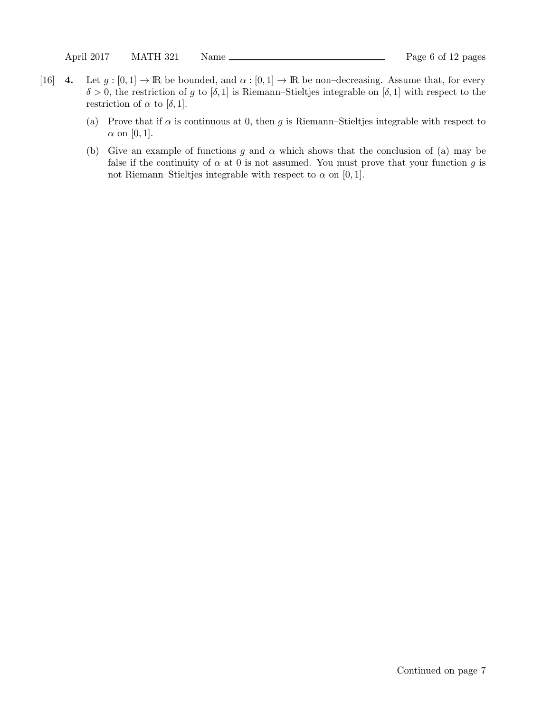- [16] 4. Let  $g : [0,1] \to \mathbb{R}$  be bounded, and  $\alpha : [0,1] \to \mathbb{R}$  be non-decreasing. Assume that, for every  $\delta > 0$ , the restriction of g to  $[\delta, 1]$  is Riemann–Stieltjes integrable on  $[\delta, 1]$  with respect to the restriction of  $\alpha$  to  $[\delta, 1]$ .
	- (a) Prove that if  $\alpha$  is continuous at 0, then g is Riemann–Stieltjes integrable with respect to  $\alpha$  on [0, 1].
	- (b) Give an example of functions g and  $\alpha$  which shows that the conclusion of (a) may be false if the continuity of  $\alpha$  at 0 is not assumed. You must prove that your function g is not Riemann–Stieltjes integrable with respect to  $\alpha$  on [0, 1].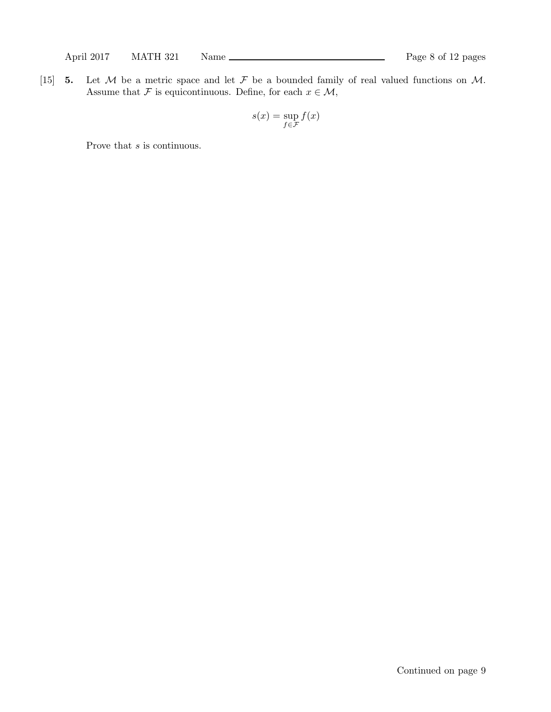[15] **5.** Let  $M$  be a metric space and let  $\mathcal F$  be a bounded family of real valued functions on  $M$ . Assume that F is equicontinuous. Define, for each  $x \in \mathcal{M}$ ,

$$
s(x) = \sup_{f \in \mathcal{F}} f(x)
$$

Prove that  $s$  is continuous.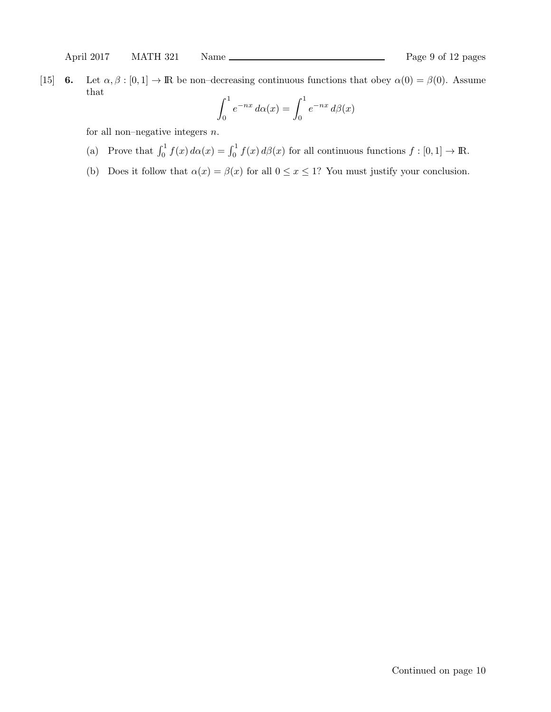[15] 6. Let  $\alpha, \beta : [0,1] \to \mathbb{R}$  be non-decreasing continuous functions that obey  $\alpha(0) = \beta(0)$ . Assume that

$$
\int_0^1 e^{-nx} \, d\alpha(x) = \int_0^1 e^{-nx} \, d\beta(x)
$$

for all non–negative integers  $n$ .

- (a) Prove that  $\int_0^1 f(x) d\alpha(x) = \int_0^1 f(x) d\beta(x)$  for all continuous functions  $f : [0, 1] \to \mathbb{R}$ .
- (b) Does it follow that  $\alpha(x) = \beta(x)$  for all  $0 \le x \le 1$ ? You must justify your conclusion.